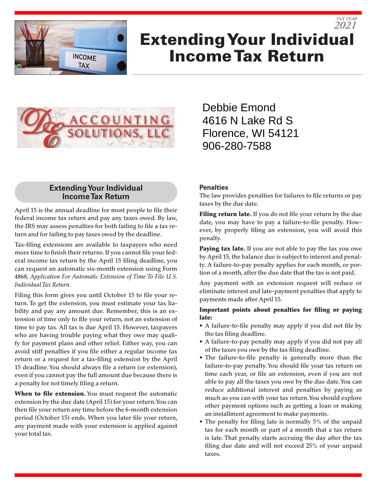

# Extending Your Individual Income Tax Return *2021*



# **Extending Your Individual Income Tax Return**

April 15 is the annual deadline for most people to file their federal income tax return and pay any taxes owed. By law, the IRS may assess penalties for both failing to file a tax return and for failing to pay taxes owed by the deadline.

Tax-filing extensions are available to taxpayers who need more time to finish their returns. If you cannot file your federal income tax return by the April 15 filing deadline, you can request an automatic six-month extension using Form 4868, *Application For Automatic Extension of Time To File U.S. Individual Tax Return.*

Filing this form gives you until October 15 to file your return. To get the extension, you must estimate your tax liability and pay any amount due. Remember, this is an extension of time only to file your return, not an extension of time to pay tax. All tax is due April 15. However, taxpayers who are having trouble paying what they owe may qualify for payment plans and other relief. Either way, you can avoid stiff penalties if you file either a regular income tax return or a request for a tax-filing extension by the April 15 deadline. You should always file a return (or extension), even if you cannot pay the full amount due because there is a penalty for not timely filing a return.

When to file extension. You must request the automatic extension by the due date (April 15) for your return. You can then file your return any time before the 6-month extension period (October 15) ends. When you later file your return, any payment made with your extension is applied against your total tax.

Debbie Emond 4616 N Lake Rd S Florence, WI 54121 906-280-7588

#### **Penalties**

The law provides penalties for failures to file returns or pay taxes by the due date.

*TAX YEAR*

Filing return late. If you do not file your return by the due date, you may have to pay a failure-to-file penalty. However, by properly filing an extension, you will avoid this penalty.

**Paying tax late.** If you are not able to pay the tax you owe by April 15, the balance due is subject to interest and penalty. A failure-to-pay penalty applies for each month, or portion of a month, after the due date that the tax is not paid.

Any payment with an extension request will reduce or eliminate interest and late-payment penalties that apply to payments made after April 15.

#### Important points about penalties for filing or paying late:

- A failure-to-file penalty may apply if you did not file by the tax filing deadline.
- A failure-to-pay penalty may apply if you did not pay all of the taxes you owe by the tax filing deadline.
- The failure-to-file penalty is generally more than the failure-to-pay penalty. You should file your tax return on time each year, or file an extension, even if you are not able to pay all the taxes you owe by the due date. You can reduce additional interest and penalties by paying as much as you can with your tax return. You should explore other payment options such as getting a loan or making an installment agreement to make payments.
- The penalty for filing late is normally 5% of the unpaid tax for each month or part of a month that a tax return is late. That penalty starts accruing the day after the tax filing due date and will not exceed 25% of your unpaid taxes.